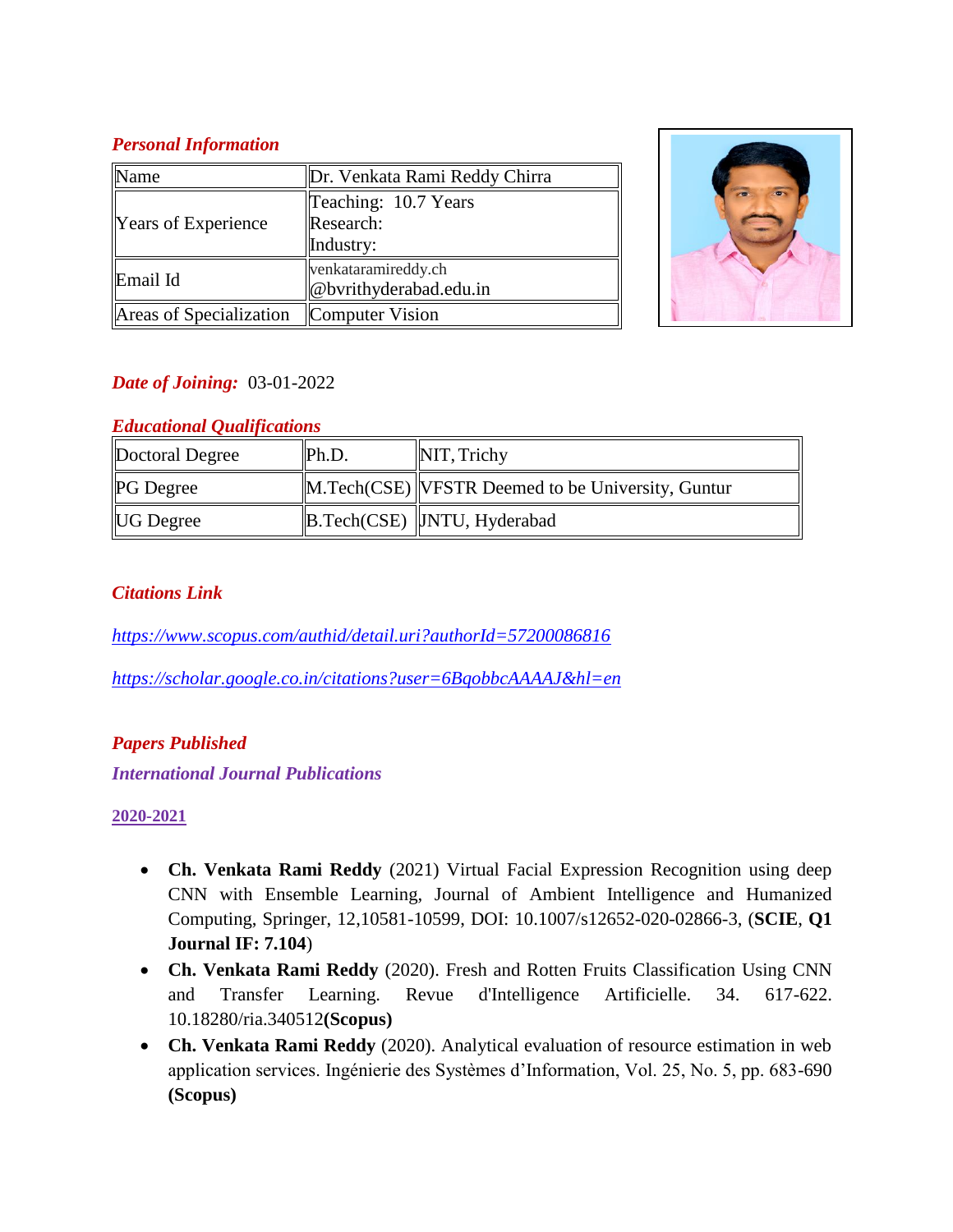## *Personal Information*

| Name                                    | Dr. Venkata Rami Reddy Chirra |  |
|-----------------------------------------|-------------------------------|--|
| <b>Years of Experience</b>              | Teaching: 10.7 Years          |  |
|                                         | Research:                     |  |
|                                         | Industry:                     |  |
| Email Id                                | venkataramireddy.ch           |  |
|                                         | @bvrithyderabad.edu.in        |  |
| Areas of Specialization Computer Vision |                               |  |



## *Date of Joining:* 03-01-2022

## *Educational Qualifications*

| Doctoral Degree  | Ph.D. | NIT, Trichy                                        |
|------------------|-------|----------------------------------------------------|
| <b>PG</b> Degree |       | M. Tech(CSE) VFSTR Deemed to be University, Guntur |
| <b>UG</b> Degree |       | B.Tech(CSE)  JNTU, Hyderabad                       |

## *Citations Link*

*<https://www.scopus.com/authid/detail.uri?authorId=57200086816>*

*<https://scholar.google.co.in/citations?user=6BqobbcAAAAJ&hl=en>*

#### *Papers Published*

*International Journal Publications*

#### **2020-2021**

- **Ch. Venkata Rami Reddy** (2021) Virtual Facial Expression Recognition using deep CNN with Ensemble Learning, Journal of Ambient Intelligence and Humanized Computing, Springer, 12,10581-10599, DOI: 10.1007/s12652-020-02866-3, (**SCIE**, **Q1 Journal IF: 7.104**)
- **Ch. Venkata Rami Reddy** (2020). Fresh and Rotten Fruits Classification Using CNN and Transfer Learning. Revue d'Intelligence Artificielle. 34. 617-622. 10.18280/ria.340512**(Scopus)**
- **Ch. Venkata Rami Reddy** (2020). Analytical evaluation of resource estimation in web application services. Ingénierie des Systèmes d'Information, Vol. 25, No. 5, pp. 683-690 **(Scopus)**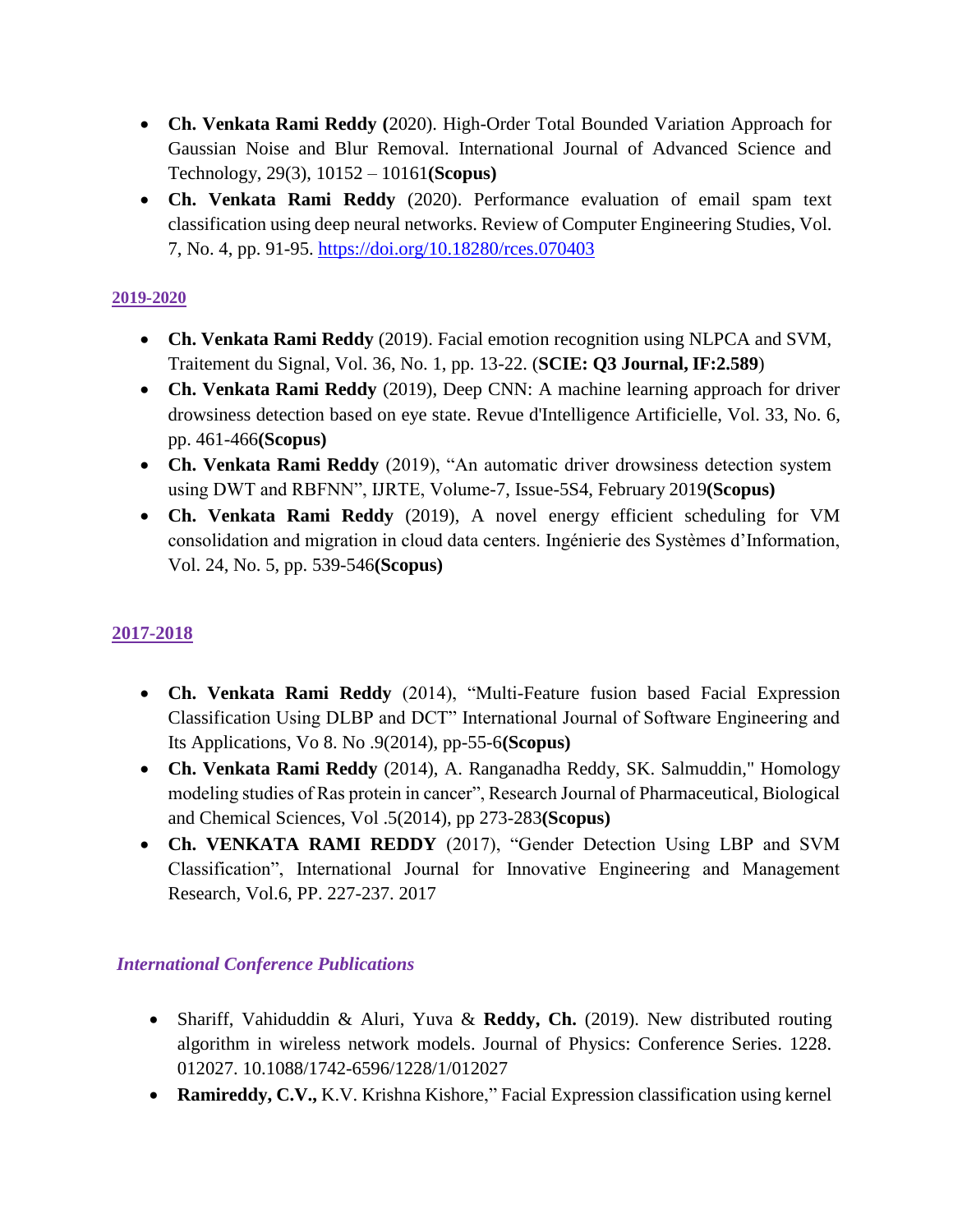- **Ch. Venkata Rami Reddy (**2020). High-Order Total Bounded Variation Approach for Gaussian Noise and Blur Removal. International Journal of Advanced Science and Technology, 29(3), 10152 – 10161**(Scopus)**
- **Ch. Venkata Rami Reddy** (2020). Performance evaluation of email spam text classification using deep neural networks. Review of Computer Engineering Studies, Vol. 7, No. 4, pp. 91-95. <https://doi.org/10.18280/rces.070403>

#### **2019-2020**

- **Ch. Venkata Rami Reddy** (2019). Facial emotion recognition using NLPCA and SVM, Traitement du Signal, Vol. 36, No. 1, pp. 13-22. (**SCIE: Q3 Journal, IF:2.589**)
- **Ch. Venkata Rami Reddy** (2019), Deep CNN: A machine learning approach for driver drowsiness detection based on eye state. Revue d'Intelligence Artificielle, Vol. 33, No. 6, pp. 461-466**(Scopus)**
- **Ch. Venkata Rami Reddy** (2019), "An automatic driver drowsiness detection system using DWT and RBFNN", IJRTE, Volume-7, Issue-5S4, February 2019**(Scopus)**
- **Ch. Venkata Rami Reddy** (2019), A novel energy efficient scheduling for VM consolidation and migration in cloud data centers. Ingénierie des Systèmes d'Information, Vol. 24, No. 5, pp. 539-546**(Scopus)**

## **2017-2018**

- **Ch. Venkata Rami Reddy** (2014), "Multi-Feature fusion based Facial Expression Classification Using DLBP and DCT" International Journal of Software Engineering and Its Applications, Vo 8. No .9(2014), pp-55-6**(Scopus)**
- **Ch. Venkata Rami Reddy** (2014), A. Ranganadha Reddy, SK. Salmuddin," Homology modeling studies of Ras protein in cancer", Research Journal of Pharmaceutical, Biological and Chemical Sciences, Vol .5(2014), pp 273-283**(Scopus)**
- **Ch. VENKATA RAMI REDDY** (2017), "Gender Detection Using LBP and SVM Classification", International Journal for Innovative Engineering and Management Research, Vol.6, PP. 227-237. 2017

## *International Conference Publications*

- Shariff, Vahiduddin & Aluri, Yuva & **Reddy, Ch.** (2019). New distributed routing algorithm in wireless network models. Journal of Physics: Conference Series. 1228. 012027. 10.1088/1742-6596/1228/1/012027
- **Ramireddy, C.V.,** K.V. Krishna Kishore," Facial Expression classification using kernel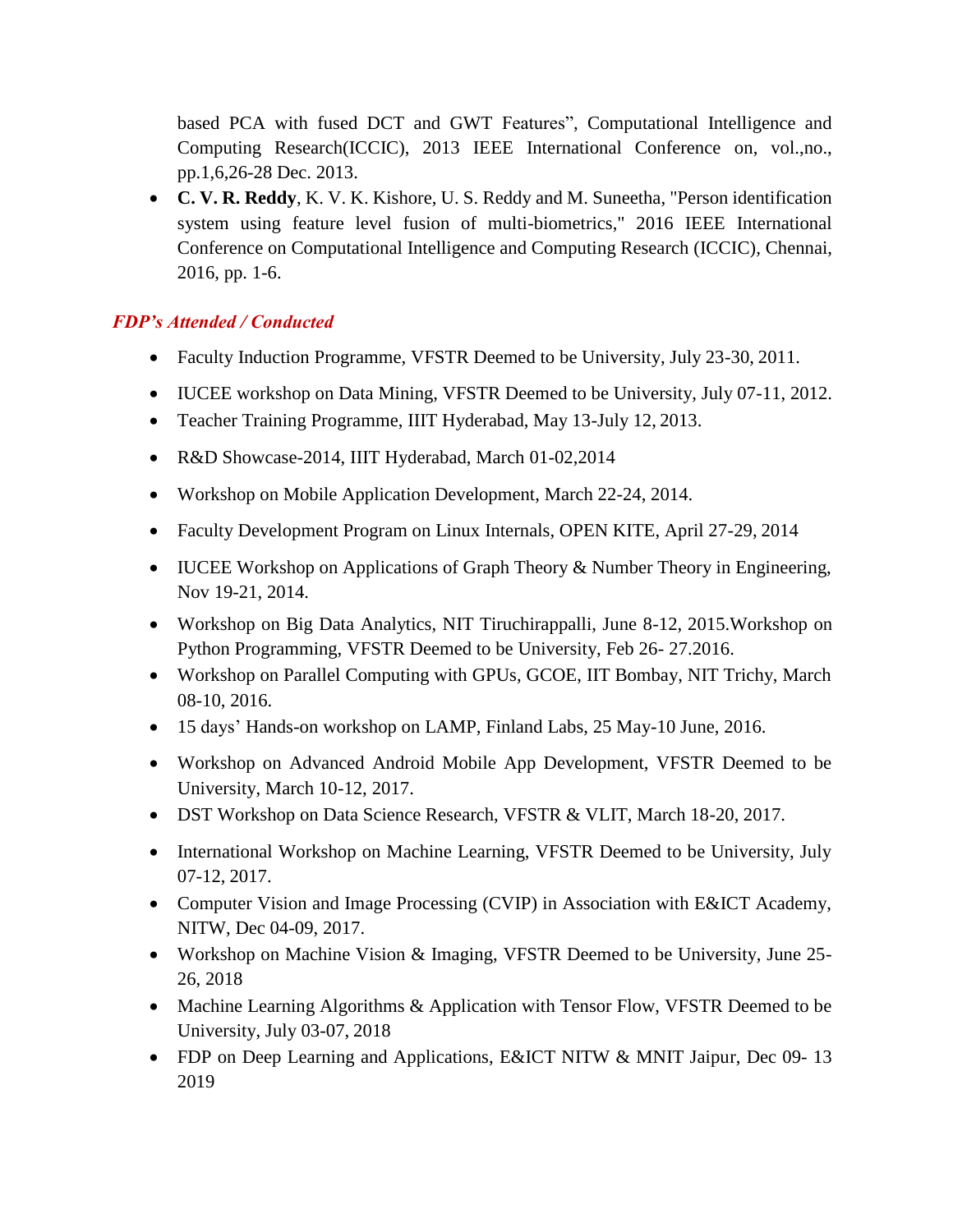based PCA with fused DCT and GWT Features", Computational Intelligence and Computing Research(ICCIC), 2013 IEEE International Conference on, vol.,no., pp.1,6,26-28 Dec. 2013.

 **C. V. R. Reddy**, K. V. K. Kishore, U. S. Reddy and M. Suneetha, "Person identification system using feature level fusion of multi-biometrics," 2016 IEEE International Conference on Computational Intelligence and Computing Research (ICCIC)*,* Chennai, 2016, pp. 1-6.

## *FDP's Attended / Conducted*

- Faculty Induction Programme, VFSTR Deemed to be University, July 23-30, 2011.
- IUCEE workshop on Data Mining, VFSTR Deemed to be University, July 07-11, 2012.
- Teacher Training Programme, IIIT Hyderabad, May 13-July 12, 2013.
- R&D Showcase-2014, IIIT Hyderabad, March 01-02,2014
- Workshop on Mobile Application Development, March 22-24, 2014.
- Faculty Development Program on Linux Internals, OPEN KITE, April 27-29, 2014
- IUCEE Workshop on Applications of Graph Theory & Number Theory in Engineering, Nov 19-21, 2014.
- Workshop on Big Data Analytics, NIT Tiruchirappalli, June 8-12, 2015.Workshop on Python Programming, VFSTR Deemed to be University, Feb 26- 27.2016.
- Workshop on Parallel Computing with GPUs, GCOE, IIT Bombay, NIT Trichy, March 08-10, 2016.
- 15 days' Hands-on workshop on LAMP, Finland Labs, 25 May-10 June, 2016.
- Workshop on Advanced Android Mobile App Development, VFSTR Deemed to be University, March 10-12, 2017.
- DST Workshop on Data Science Research, VFSTR & VLIT, March 18-20, 2017.
- International Workshop on Machine Learning, VFSTR Deemed to be University, July 07-12, 2017.
- Computer Vision and Image Processing (CVIP) in Association with E&ICT Academy, NITW, Dec 04-09, 2017.
- Workshop on Machine Vision & Imaging, VFSTR Deemed to be University, June 25- 26, 2018
- Machine Learning Algorithms & Application with Tensor Flow, VFSTR Deemed to be University, July 03-07, 2018
- FDP on Deep Learning and Applications, E&ICT NITW & MNIT Jaipur, Dec 09-13 2019